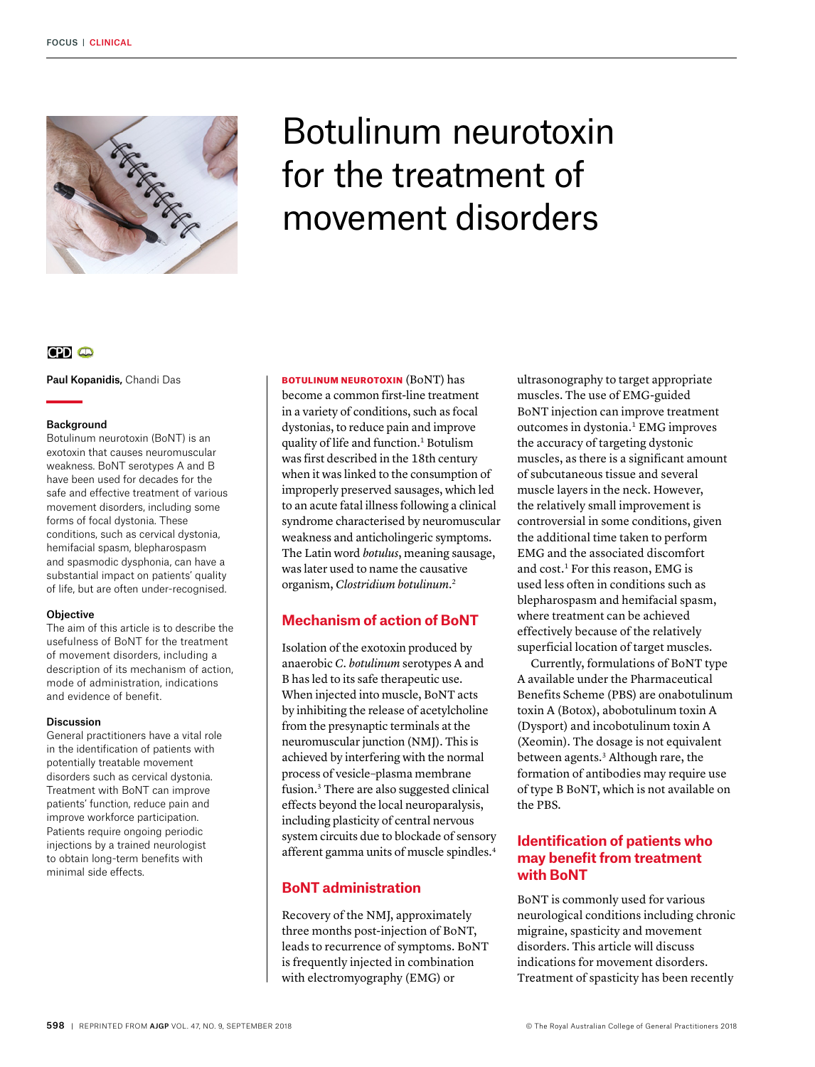

# Botulinum neurotoxin for the treatment of movement disorders

# $CD<sub>o</sub>$

Paul Kopanidis, Chandi Das

## Background

Botulinum neurotoxin (BoNT) is an exotoxin that causes neuromuscular weakness. BoNT serotypes A and B have been used for decades for the safe and effective treatment of various movement disorders, including some forms of focal dystonia. These conditions, such as cervical dystonia, hemifacial spasm, blepharospasm and spasmodic dysphonia, can have a substantial impact on patients' quality of life, but are often under-recognised.

## **Objective**

The aim of this article is to describe the usefulness of BoNT for the treatment of movement disorders, including a description of its mechanism of action, mode of administration, indications and evidence of benefit.

## Discussion

General practitioners have a vital role in the identification of patients with potentially treatable movement disorders such as cervical dystonia. Treatment with BoNT can improve patients' function, reduce pain and improve workforce participation. Patients require ongoing periodic injections by a trained neurologist to obtain long-term benefits with minimal side effects.

BOTULINUM NEUROTOXIN (BoNT) has become a common first-line treatment in a variety of conditions, such as focal dystonias, to reduce pain and improve quality of life and function.<sup>1</sup> Botulism was first described in the 18th century when it was linked to the consumption of improperly preserved sausages, which led to an acute fatal illness following a clinical syndrome characterised by neuromuscular weakness and anticholingeric symptoms. The Latin word *botulus*, meaning sausage, was later used to name the causative organism, *Clostridium botulinum*. 2

# **Mechanism of action of BoNT**

Isolation of the exotoxin produced by anaerobic *C. botulinum* serotypes A and B has led to its safe therapeutic use. When injected into muscle, BoNT acts by inhibiting the release of acetylcholine from the presynaptic terminals at the neuromuscular junction (NMJ). This is achieved by interfering with the normal process of vesicle–plasma membrane fusion.3 There are also suggested clinical effects beyond the local neuroparalysis, including plasticity of central nervous system circuits due to blockade of sensory afferent gamma units of muscle spindles.4

# **BoNT administration**

Recovery of the NMJ, approximately three months post-injection of BoNT, leads to recurrence of symptoms. BoNT is frequently injected in combination with electromyography (EMG) or

ultrasonography to target appropriate muscles. The use of EMG-guided BoNT injection can improve treatment outcomes in dystonia.1 EMG improves the accuracy of targeting dystonic muscles, as there is a significant amount of subcutaneous tissue and several muscle layers in the neck. However, the relatively small improvement is controversial in some conditions, given the additional time taken to perform EMG and the associated discomfort and cost.<sup>1</sup> For this reason, EMG is used less often in conditions such as blepharospasm and hemifacial spasm, where treatment can be achieved effectively because of the relatively superficial location of target muscles.

Currently, formulations of BoNT type A available under the Pharmaceutical Benefits Scheme (PBS) are onabotulinum toxin A (Botox), abobotulinum toxin A (Dysport) and incobotulinum toxin A (Xeomin). The dosage is not equivalent between agents.3 Although rare, the formation of antibodies may require use of type B BoNT, which is not available on the PBS.

# **Identification of patients who may benefit from treatment with BoNT**

BoNT is commonly used for various neurological conditions including chronic migraine, spasticity and movement disorders. This article will discuss indications for movement disorders. Treatment of spasticity has been recently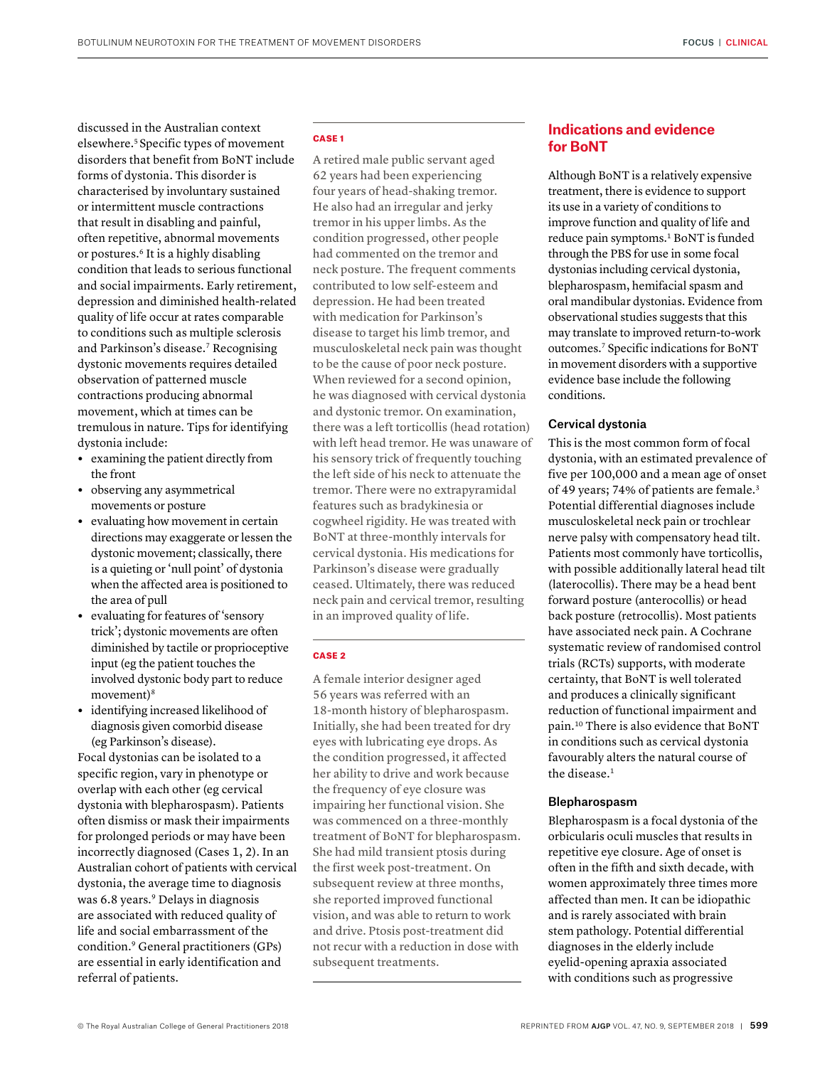discussed in the Australian context elsewhere.5 Specific types of movement disorders that benefit from BoNT include forms of dystonia. This disorder is characterised by involuntary sustained or intermittent muscle contractions that result in disabling and painful, often repetitive, abnormal movements or postures.6 It is a highly disabling condition that leads to serious functional and social impairments. Early retirement, depression and diminished health-related quality of life occur at rates comparable to conditions such as multiple sclerosis and Parkinson's disease.7 Recognising dystonic movements requires detailed observation of patterned muscle contractions producing abnormal movement, which at times can be tremulous in nature. Tips for identifying dystonia include:

- **•** examining the patient directly from the front
- **•** observing any asymmetrical movements or posture
- **•** evaluating how movement in certain directions may exaggerate or lessen the dystonic movement; classically, there is a quieting or 'null point' of dystonia when the affected area is positioned to the area of pull
- **•** evaluating for features of 'sensory trick'; dystonic movements are often diminished by tactile or proprioceptive input (eg the patient touches the involved dystonic body part to reduce movement)<sup>8</sup>
- **•** identifying increased likelihood of diagnosis given comorbid disease (eg Parkinson's disease).

Focal dystonias can be isolated to a specific region, vary in phenotype or overlap with each other (eg cervical dystonia with blepharospasm). Patients often dismiss or mask their impairments for prolonged periods or may have been incorrectly diagnosed (Cases 1, 2). In an Australian cohort of patients with cervical dystonia, the average time to diagnosis was 6.8 years.9 Delays in diagnosis are associated with reduced quality of life and social embarrassment of the condition.9 General practitioners (GPs) are essential in early identification and referral of patients.

#### CASE 1

A retired male public servant aged 62 years had been experiencing four years of head-shaking tremor. He also had an irregular and jerky tremor in his upper limbs. As the condition progressed, other people had commented on the tremor and neck posture. The frequent comments contributed to low self-esteem and depression. He had been treated with medication for Parkinson's disease to target his limb tremor, and musculoskeletal neck pain was thought to be the cause of poor neck posture. When reviewed for a second opinion, he was diagnosed with cervical dystonia and dystonic tremor. On examination, there was a left torticollis (head rotation) with left head tremor. He was unaware of his sensory trick of frequently touching the left side of his neck to attenuate the tremor. There were no extrapyramidal features such as bradykinesia or cogwheel rigidity. He was treated with BoNT at three-monthly intervals for cervical dystonia. His medications for Parkinson's disease were gradually ceased. Ultimately, there was reduced neck pain and cervical tremor, resulting in an improved quality of life.

#### CASE 2

A female interior designer aged 56 years was referred with an 18-month history of blepharospasm. Initially, she had been treated for dry eyes with lubricating eye drops. As the condition progressed, it affected her ability to drive and work because the frequency of eye closure was impairing her functional vision. She was commenced on a three-monthly treatment of BoNT for blepharospasm. She had mild transient ptosis during the first week post-treatment. On subsequent review at three months, she reported improved functional vision, and was able to return to work and drive. Ptosis post-treatment did not recur with a reduction in dose with subsequent treatments.

# **Indications and evidence for BoNT**

Although BoNT is a relatively expensive treatment, there is evidence to support its use in a variety of conditions to improve function and quality of life and reduce pain symptoms.<sup>1</sup> BoNT is funded through the PBS for use in some focal dystonias including cervical dystonia, blepharospasm, hemifacial spasm and oral mandibular dystonias. Evidence from observational studies suggests that this may translate to improved return-to-work outcomes.7 Specific indications for BoNT in movement disorders with a supportive evidence base include the following conditions.

## Cervical dystonia

This is the most common form of focal dystonia, with an estimated prevalence of five per 100,000 and a mean age of onset of 49 years; 74% of patients are female.3 Potential differential diagnoses include musculoskeletal neck pain or trochlear nerve palsy with compensatory head tilt. Patients most commonly have torticollis, with possible additionally lateral head tilt (laterocollis). There may be a head bent forward posture (anterocollis) or head back posture (retrocollis). Most patients have associated neck pain. A Cochrane systematic review of randomised control trials (RCTs) supports, with moderate certainty, that BoNT is well tolerated and produces a clinically significant reduction of functional impairment and pain.10 There is also evidence that BoNT in conditions such as cervical dystonia favourably alters the natural course of the disease.<sup>1</sup>

#### Blepharospasm

Blepharospasm is a focal dystonia of the orbicularis oculi muscles that results in repetitive eye closure. Age of onset is often in the fifth and sixth decade, with women approximately three times more affected than men. It can be idiopathic and is rarely associated with brain stem pathology. Potential differential diagnoses in the elderly include eyelid-opening apraxia associated with conditions such as progressive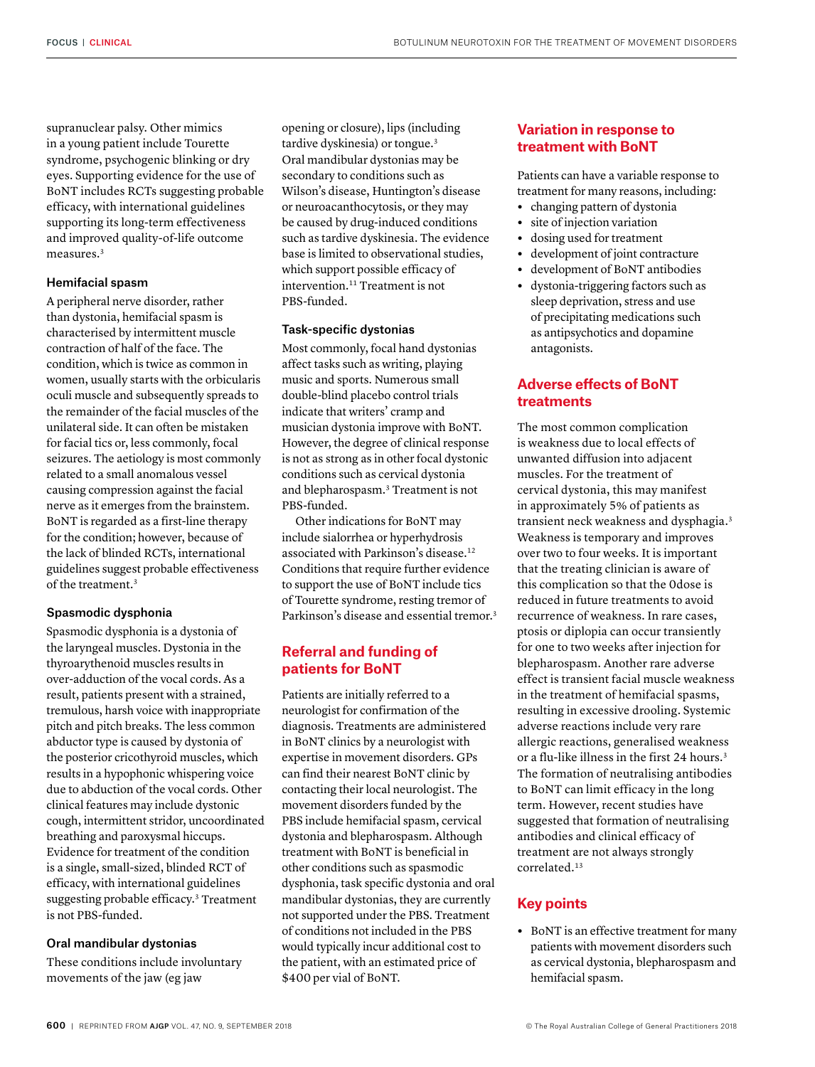supranuclear palsy. Other mimics in a young patient include Tourette syndrome, psychogenic blinking or dry eyes. Supporting evidence for the use of BoNT includes RCTs suggesting probable efficacy, with international guidelines supporting its long-term effectiveness and improved quality-of-life outcome measures.3

## Hemifacial spasm

A peripheral nerve disorder, rather than dystonia, hemifacial spasm is characterised by intermittent muscle contraction of half of the face. The condition, which is twice as common in women, usually starts with the orbicularis oculi muscle and subsequently spreads to the remainder of the facial muscles of the unilateral side. It can often be mistaken for facial tics or, less commonly, focal seizures. The aetiology is most commonly related to a small anomalous vessel causing compression against the facial nerve as it emerges from the brainstem. BoNT is regarded as a first-line therapy for the condition; however, because of the lack of blinded RCTs, international guidelines suggest probable effectiveness of the treatment.<sup>3</sup>

## Spasmodic dysphonia

Spasmodic dysphonia is a dystonia of the laryngeal muscles. Dystonia in the thyroarythenoid muscles results in over-adduction of the vocal cords. As a result, patients present with a strained, tremulous, harsh voice with inappropriate pitch and pitch breaks. The less common abductor type is caused by dystonia of the posterior cricothyroid muscles, which results in a hypophonic whispering voice due to abduction of the vocal cords. Other clinical features may include dystonic cough, intermittent stridor, uncoordinated breathing and paroxysmal hiccups. Evidence for treatment of the condition is a single, small-sized, blinded RCT of efficacy, with international guidelines suggesting probable efficacy.3 Treatment is not PBS-funded.

## Oral mandibular dystonias

These conditions include involuntary movements of the jaw (eg jaw

opening or closure), lips (including tardive dyskinesia) or tongue.<sup>3</sup> Oral mandibular dystonias may be secondary to conditions such as Wilson's disease, Huntington's disease or neuroacanthocytosis, or they may be caused by drug-induced conditions such as tardive dyskinesia. The evidence base is limited to observational studies, which support possible efficacy of intervention.<sup>11</sup> Treatment is not PBS-funded.

### Task-specific dystonias

Most commonly, focal hand dystonias affect tasks such as writing, playing music and sports. Numerous small double-blind placebo control trials indicate that writers' cramp and musician dystonia improve with BoNT. However, the degree of clinical response is not as strong as in other focal dystonic conditions such as cervical dystonia and blepharospasm.3 Treatment is not PBS-funded.

Other indications for BoNT may include sialorrhea or hyperhydrosis associated with Parkinson's disease.12 Conditions that require further evidence to support the use of BoNT include tics of Tourette syndrome, resting tremor of Parkinson's disease and essential tremor.<sup>3</sup>

# **Referral and funding of patients for BoNT**

Patients are initially referred to a neurologist for confirmation of the diagnosis. Treatments are administered in BoNT clinics by a neurologist with expertise in movement disorders. GPs can find their nearest BoNT clinic by contacting their local neurologist. The movement disorders funded by the PBS include hemifacial spasm, cervical dystonia and blepharospasm. Although treatment with BoNT is beneficial in other conditions such as spasmodic dysphonia, task specific dystonia and oral mandibular dystonias, they are currently not supported under the PBS. Treatment of conditions not included in the PBS would typically incur additional cost to the patient, with an estimated price of \$400 per vial of BoNT.

# **Variation in response to treatment with BoNT**

Patients can have a variable response to treatment for many reasons, including:

- **•** changing pattern of dystonia
- **•** site of injection variation
- **•** dosing used for treatment
- **•** development of joint contracture
- **•** development of BoNT antibodies
- **•** dystonia-triggering factors such as sleep deprivation, stress and use of precipitating medications such as antipsychotics and dopamine antagonists.

## **Adverse effects of BoNT treatments**

The most common complication is weakness due to local effects of unwanted diffusion into adjacent muscles. For the treatment of cervical dystonia, this may manifest in approximately 5% of patients as transient neck weakness and dysphagia.3 Weakness is temporary and improves over two to four weeks. It is important that the treating clinician is aware of this complication so that the 0dose is reduced in future treatments to avoid recurrence of weakness. In rare cases, ptosis or diplopia can occur transiently for one to two weeks after injection for blepharospasm. Another rare adverse effect is transient facial muscle weakness in the treatment of hemifacial spasms, resulting in excessive drooling. Systemic adverse reactions include very rare allergic reactions, generalised weakness or a flu-like illness in the first 24 hours.<sup>3</sup> The formation of neutralising antibodies to BoNT can limit efficacy in the long term. However, recent studies have suggested that formation of neutralising antibodies and clinical efficacy of treatment are not always strongly correlated.13

## **Key points**

**•** BoNT is an effective treatment for many patients with movement disorders such as cervical dystonia, blepharospasm and hemifacial spasm.